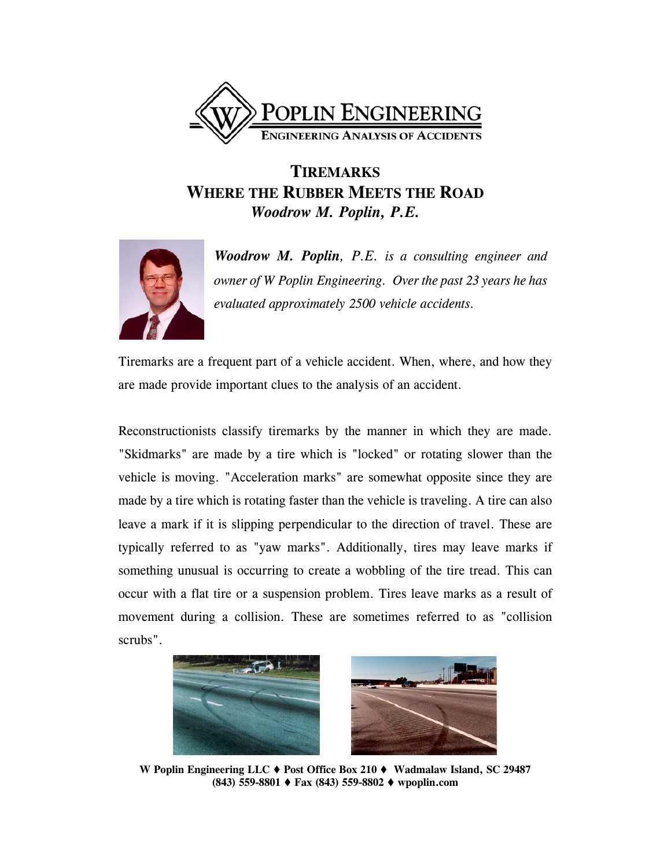

## **TIREMARKS WHERE THE RUBBER MEETS THE ROAD** *Woodrow M. Poplin, P.E.*



*Woodrow M. Poplin, P.E. is a consulting engineer and owner of W Poplin Engineering. Over the past 23 years he has evaluated approximately 2500 vehicle accidents.*

Tiremarks are a frequent part of a vehicle accident. When, where, and how they are made provide important clues to the analysis of an accident.

Reconstructionists classify tiremarks by the manner in which they are made. "Skidmarks" are made by a tire which is "locked" or rotating slower than the vehicle is moving. "Acceleration marks" are somewhat opposite since they are made by a tire which is rotating faster than the vehicle is traveling. A tire can also leave a mark if it is slipping perpendicular to the direction of travel. These are typically referred to as "yaw marks". Additionally, tires may leave marks if something unusual is occurring to create a wobbling of the tire tread. This can occur with a flat tire or a suspension problem. Tires leave marks as a result of movement during a collision. These are sometimes referred to as "collision scrubs".





**W Poplin Engineering LLC Post Office Box 210 Wadmalaw Island, SC 29487 (843) 559-8801 Fax (843) 559-8802 wpoplin.com**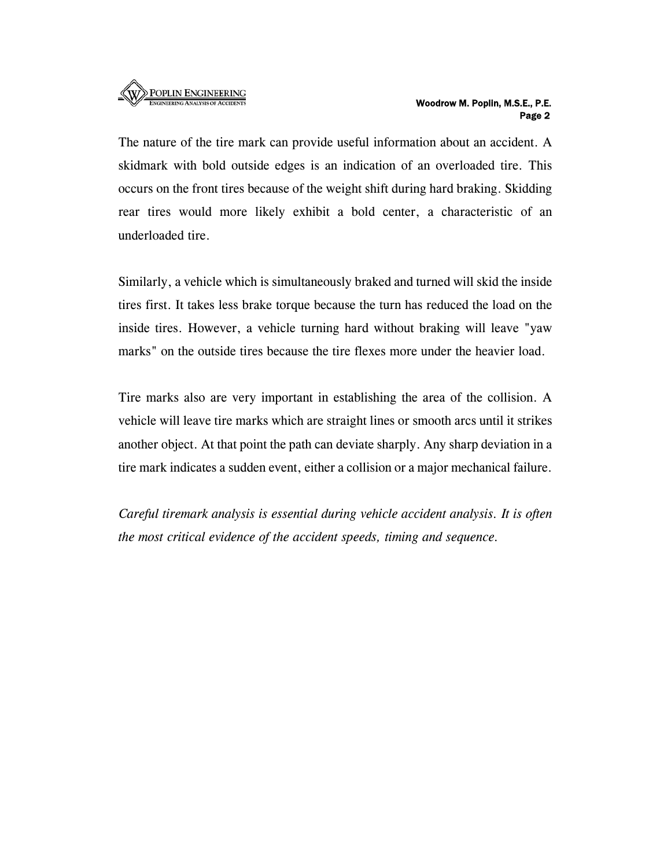

## Woodrow M. Poplin, M.S.E., P.E. Page 2

The nature of the tire mark can provide useful information about an accident. A skidmark with bold outside edges is an indication of an overloaded tire. This occurs on the front tires because of the weight shift during hard braking. Skidding rear tires would more likely exhibit a bold center, a characteristic of an underloaded tire.

Similarly, a vehicle which is simultaneously braked and turned will skid the inside tires first. It takes less brake torque because the turn has reduced the load on the inside tires. However, a vehicle turning hard without braking will leave "yaw marks" on the outside tires because the tire flexes more under the heavier load.

Tire marks also are very important in establishing the area of the collision. A vehicle will leave tire marks which are straight lines or smooth arcs until it strikes another object. At that point the path can deviate sharply. Any sharp deviation in a tire mark indicates a sudden event, either a collision or a major mechanical failure.

*Careful tiremark analysis is essential during vehicle accident analysis. It is often the most critical evidence of the accident speeds, timing and sequence.*